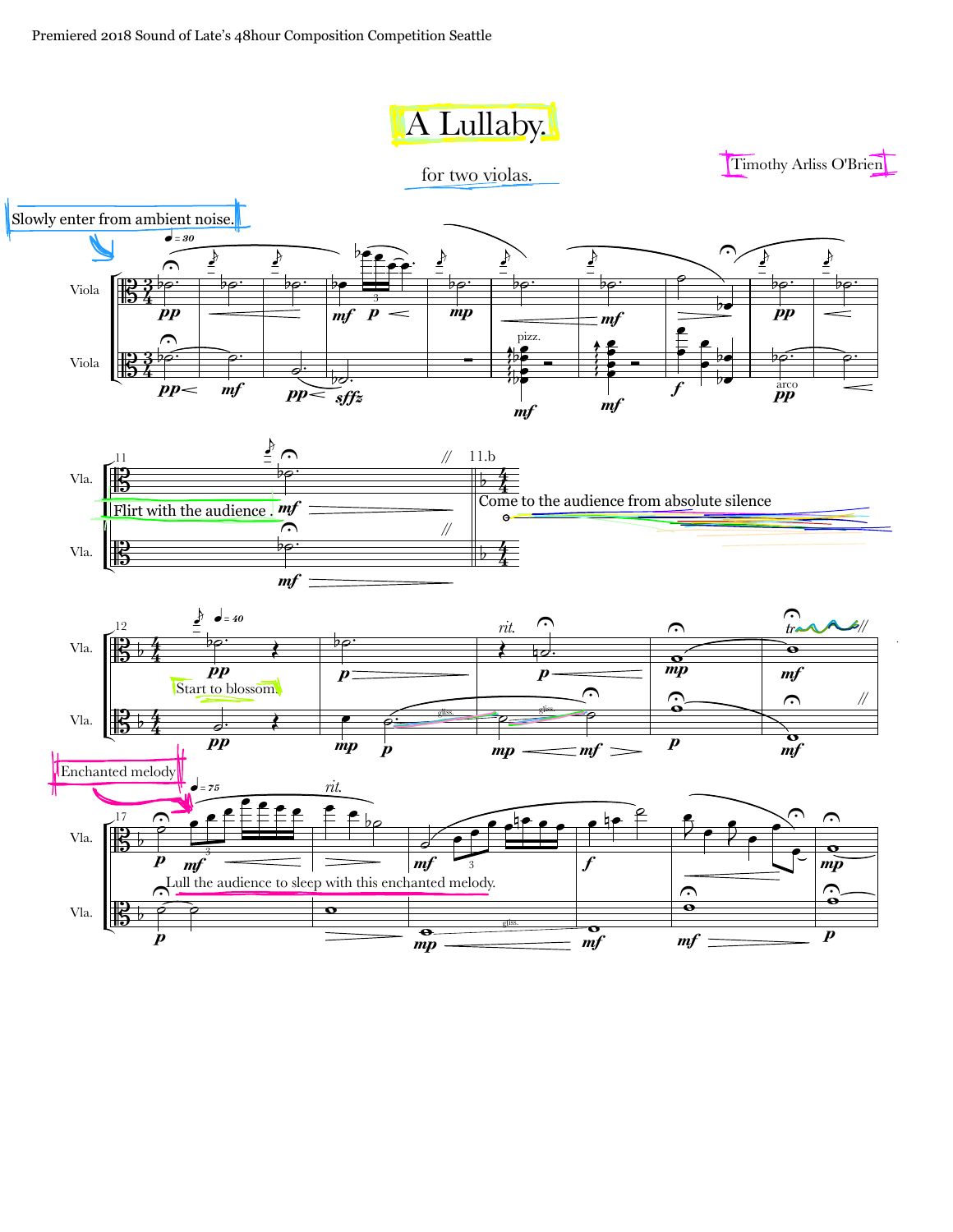